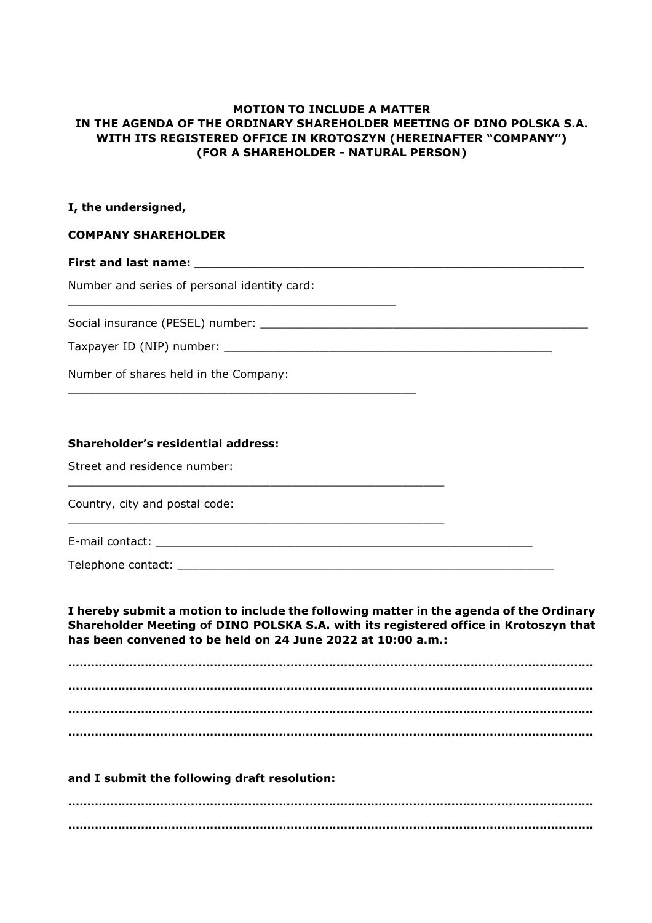# **MOTION TO INCLUDE A MATTER IN THE AGENDA OF THE ORDINARY SHAREHOLDER MEETING OF DINO POLSKA S.A. WITH ITS REGISTERED OFFICE IN KROTOSZYN (HEREINAFTER "COMPANY") (FOR A SHAREHOLDER - NATURAL PERSON)**

# **I, the undersigned,**

# **COMPANY SHAREHOLDER**

## **First and last name:**

Number and series of personal identity card:

\_\_\_\_\_\_\_\_\_\_\_\_\_\_\_\_\_\_\_\_\_\_\_\_\_\_\_\_\_\_\_\_\_\_\_\_\_\_\_\_\_\_\_\_\_\_\_

\_\_\_\_\_\_\_\_\_\_\_\_\_\_\_\_\_\_\_\_\_\_\_\_\_\_\_\_\_\_\_\_\_\_\_\_\_\_\_\_\_\_\_\_\_\_\_\_\_\_

\_\_\_\_\_\_\_\_\_\_\_\_\_\_\_\_\_\_\_\_\_\_\_\_\_\_\_\_\_\_\_\_\_\_\_\_\_\_\_\_\_\_\_\_\_\_\_\_\_\_\_\_\_\_

\_\_\_\_\_\_\_\_\_\_\_\_\_\_\_\_\_\_\_\_\_\_\_\_\_\_\_\_\_\_\_\_\_\_\_\_\_\_\_\_\_\_\_\_\_\_\_\_\_\_\_\_\_\_

Social insurance (PESEL) number: \_\_\_\_\_\_\_\_\_\_\_\_\_\_\_\_\_\_\_\_\_\_\_\_\_\_\_\_\_\_\_\_\_\_\_\_\_\_\_\_\_\_\_\_\_\_\_

#### Taxpayer ID (NIP) number:

Number of shares held in the Company:

## **Shareholder's residential address:**

Street and residence number:

Country, city and postal code:

E-mail contact: \_\_\_\_\_\_\_\_\_\_\_\_\_\_\_\_\_\_\_\_\_\_\_\_\_\_\_\_\_\_\_\_\_\_\_\_\_\_\_\_\_\_\_\_\_\_\_\_\_\_\_\_\_\_

Telephone contact: \_\_\_\_\_\_\_\_\_\_\_\_\_\_\_\_\_\_\_\_\_\_\_\_\_\_\_\_\_\_\_\_\_\_\_\_\_\_\_\_\_\_\_\_\_\_\_\_\_\_\_\_\_\_

**I hereby submit a motion to include the following matter in the agenda of the Ordinary Shareholder Meeting of DINO POLSKA S.A. with its registered office in Krotoszyn that has been convened to be held on 24 June 2022 at 10:00 a.m.:**

**……………………………………………………………………………………………………………………….. ……………………………………………………………………………………………………………………….. ……………………………………………………………………………………………………………………….. ………………………………………………………………………………………………………………………..** 

#### **and I submit the following draft resolution:**